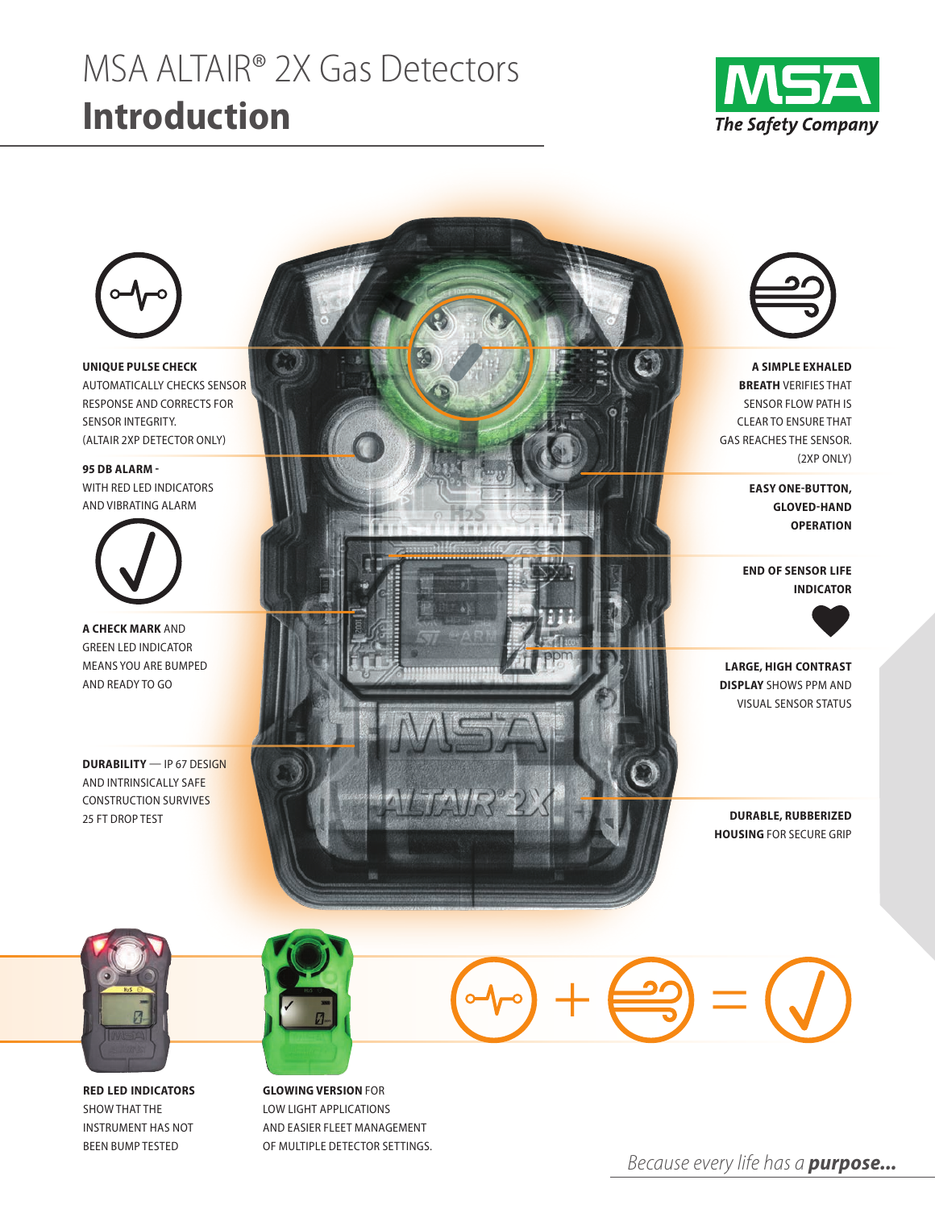# MSA ALTAIR® 2X Gas Detectors **Introduction**





**UNIQUE PULSE CHECK** automaticaLLy checks sensor response and corrects for sensor integrity. (aLtair 2Xp detector onLy)

**95 DB ALARM**  with red Led indicators and vibrating aLarm



**A CHECK MARK** and green Led indicator means you are bumped and ready to go

**DURABILITY** — ip 67 design and intrinsicaLLy safe construction survives 25 ft drop test



**A SIMPLE EXHALED BREATH** verifies that sensor fLow path is cLear to ensure that gas reaches the sensor. (2Xp onLy)

> **EASY ONE-BUTTON, GLOVED-HAND OPERATION**

**END OF SENSOR LIFE INDICATOR**



**LARGE, HIGH CONTRAST DISPLAY** shows ppm and visuaL sensor status

**DURABLE, RUBBERIZED HOUSING** for secure grip



**RED LED INDICATORS** SHOW THAT THE instrument has not been bump tested



**GLOWING VERSION** for Low Light appLications and easier fLeet management of muLtipLe detector settings.



*Because every life has a purpose...*